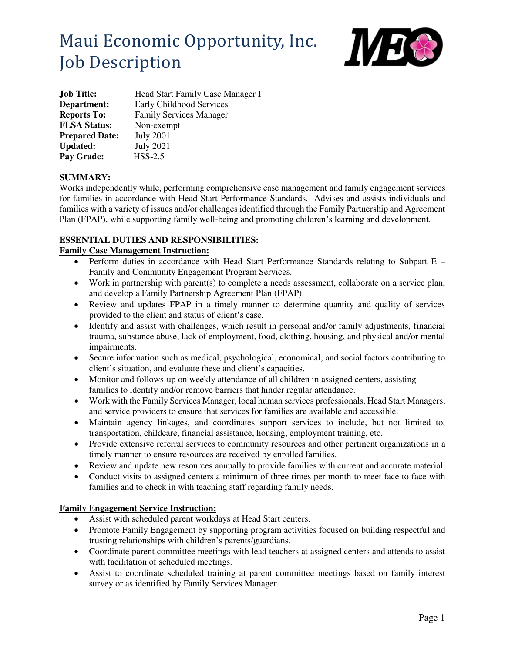

| <b>Job Title:</b>     | Head Start Family Case Manager I |
|-----------------------|----------------------------------|
| Department:           | Early Childhood Services         |
| <b>Reports To:</b>    | <b>Family Services Manager</b>   |
| <b>FLSA Status:</b>   | Non-exempt                       |
| <b>Prepared Date:</b> | <b>July 2001</b>                 |
| <b>Updated:</b>       | <b>July 2021</b>                 |
| Pay Grade:            | $HSS-2.5$                        |

### **SUMMARY:**

Works independently while, performing comprehensive case management and family engagement services for families in accordance with Head Start Performance Standards. Advises and assists individuals and families with a variety of issues and/or challenges identified through the Family Partnership and Agreement Plan (FPAP), while supporting family well-being and promoting children's learning and development.

### **ESSENTIAL DUTIES AND RESPONSIBILITIES:**

### **Family Case Management Instruction:**

- Perform duties in accordance with Head Start Performance Standards relating to Subpart E Family and Community Engagement Program Services.
- Work in partnership with parent(s) to complete a needs assessment, collaborate on a service plan, and develop a Family Partnership Agreement Plan (FPAP).
- Review and updates FPAP in a timely manner to determine quantity and quality of services provided to the client and status of client's case.
- Identify and assist with challenges, which result in personal and/or family adjustments, financial trauma, substance abuse, lack of employment, food, clothing, housing, and physical and/or mental impairments.
- Secure information such as medical, psychological, economical, and social factors contributing to client's situation, and evaluate these and client's capacities.
- Monitor and follows-up on weekly attendance of all children in assigned centers, assisting families to identify and/or remove barriers that hinder regular attendance.
- Work with the Family Services Manager, local human services professionals, Head Start Managers, and service providers to ensure that services for families are available and accessible.
- Maintain agency linkages, and coordinates support services to include, but not limited to, transportation, childcare, financial assistance, housing, employment training, etc.
- Provide extensive referral services to community resources and other pertinent organizations in a timely manner to ensure resources are received by enrolled families.
- Review and update new resources annually to provide families with current and accurate material.
- Conduct visits to assigned centers a minimum of three times per month to meet face to face with families and to check in with teaching staff regarding family needs.

### **Family Engagement Service Instruction:**

- Assist with scheduled parent workdays at Head Start centers.
- Promote Family Engagement by supporting program activities focused on building respectful and trusting relationships with children's parents/guardians.
- Coordinate parent committee meetings with lead teachers at assigned centers and attends to assist with facilitation of scheduled meetings.
- Assist to coordinate scheduled training at parent committee meetings based on family interest survey or as identified by Family Services Manager.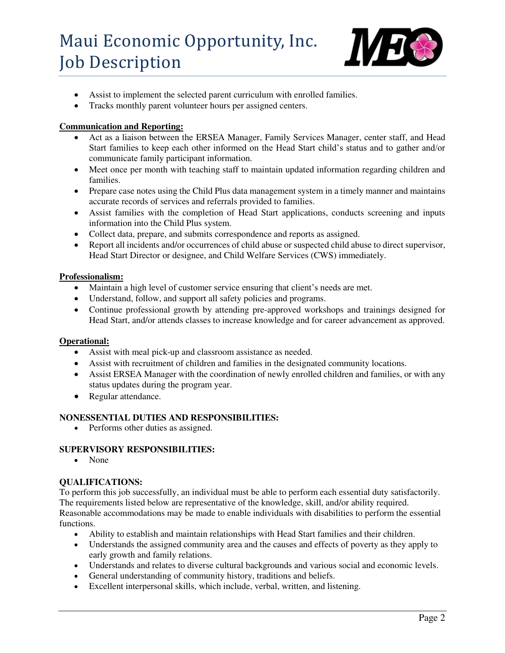

- Assist to implement the selected parent curriculum with enrolled families.
- Tracks monthly parent volunteer hours per assigned centers.

## **Communication and Reporting:**

- Act as a liaison between the ERSEA Manager, Family Services Manager, center staff, and Head Start families to keep each other informed on the Head Start child's status and to gather and/or communicate family participant information.
- Meet once per month with teaching staff to maintain updated information regarding children and families.
- Prepare case notes using the Child Plus data management system in a timely manner and maintains accurate records of services and referrals provided to families.
- Assist families with the completion of Head Start applications, conducts screening and inputs information into the Child Plus system.
- Collect data, prepare, and submits correspondence and reports as assigned.
- Report all incidents and/or occurrences of child abuse or suspected child abuse to direct supervisor, Head Start Director or designee, and Child Welfare Services (CWS) immediately.

### **Professionalism:**

- Maintain a high level of customer service ensuring that client's needs are met.
- Understand, follow, and support all safety policies and programs.
- Continue professional growth by attending pre-approved workshops and trainings designed for Head Start, and/or attends classes to increase knowledge and for career advancement as approved.

### **Operational:**

- Assist with meal pick-up and classroom assistance as needed.
- Assist with recruitment of children and families in the designated community locations.
- Assist ERSEA Manager with the coordination of newly enrolled children and families, or with any status updates during the program year.
- Regular attendance.

### **NONESSENTIAL DUTIES AND RESPONSIBILITIES:**

• Performs other duties as assigned.

### **SUPERVISORY RESPONSIBILITIES:**

• None

### **QUALIFICATIONS:**

To perform this job successfully, an individual must be able to perform each essential duty satisfactorily. The requirements listed below are representative of the knowledge, skill, and/or ability required. Reasonable accommodations may be made to enable individuals with disabilities to perform the essential functions.

- Ability to establish and maintain relationships with Head Start families and their children.
- Understands the assigned community area and the causes and effects of poverty as they apply to early growth and family relations.
- Understands and relates to diverse cultural backgrounds and various social and economic levels.
- General understanding of community history, traditions and beliefs.
- Excellent interpersonal skills, which include, verbal, written, and listening.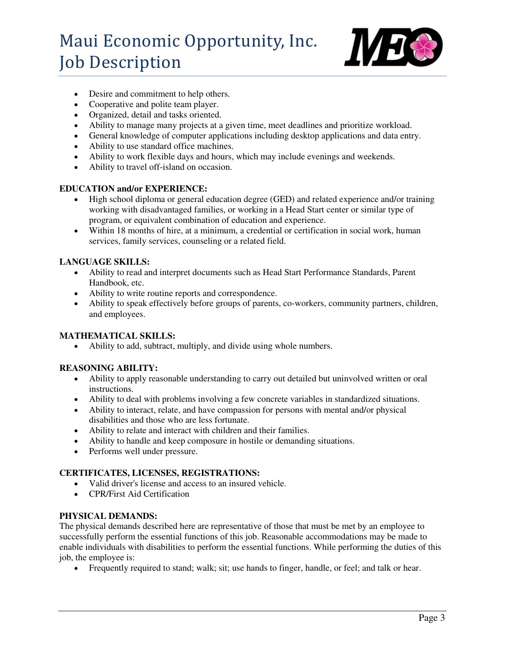

- Desire and commitment to help others.
- Cooperative and polite team player.
- Organized, detail and tasks oriented.
- Ability to manage many projects at a given time, meet deadlines and prioritize workload.
- General knowledge of computer applications including desktop applications and data entry.
- Ability to use standard office machines.
- Ability to work flexible days and hours, which may include evenings and weekends.
- Ability to travel off-island on occasion.

#### **EDUCATION and/or EXPERIENCE:**

- High school diploma or general education degree (GED) and related experience and/or training working with disadvantaged families, or working in a Head Start center or similar type of program, or equivalent combination of education and experience.
- Within 18 months of hire, at a minimum, a credential or certification in social work, human services, family services, counseling or a related field.

#### **LANGUAGE SKILLS:**

- Ability to read and interpret documents such as Head Start Performance Standards, Parent Handbook, etc.
- Ability to write routine reports and correspondence.
- Ability to speak effectively before groups of parents, co-workers, community partners, children, and employees.

### **MATHEMATICAL SKILLS:**

Ability to add, subtract, multiply, and divide using whole numbers.

#### **REASONING ABILITY:**

- Ability to apply reasonable understanding to carry out detailed but uninvolved written or oral instructions.
- Ability to deal with problems involving a few concrete variables in standardized situations.
- Ability to interact, relate, and have compassion for persons with mental and/or physical disabilities and those who are less fortunate.
- Ability to relate and interact with children and their families.
- Ability to handle and keep composure in hostile or demanding situations.
- Performs well under pressure.

### **CERTIFICATES, LICENSES, REGISTRATIONS:**

- Valid driver's license and access to an insured vehicle.
- CPR/First Aid Certification

#### **PHYSICAL DEMANDS:**

The physical demands described here are representative of those that must be met by an employee to successfully perform the essential functions of this job. Reasonable accommodations may be made to enable individuals with disabilities to perform the essential functions. While performing the duties of this job, the employee is:

Frequently required to stand; walk; sit; use hands to finger, handle, or feel; and talk or hear.